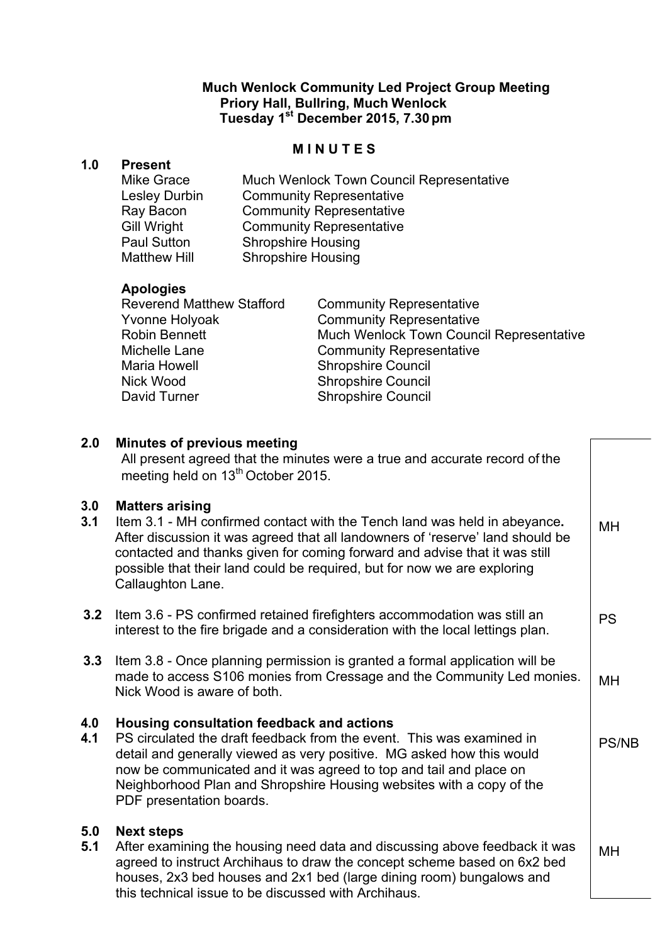## **Much Wenlock Community Led Project Group Meeting Priory Hall, Bullring, Much Wenlock Tuesday 1st December 2015, 7.30pm**

## **M I N U T E S**

#### **1.0 Present**

Mike Grace Much Wenlock Town Council Representative Lesley Durbin Community Representative Ray Bacon Community Representative Gill Wright Community Representative Paul Sutton Shropshire Housing Matthew Hill Shropshire Housing

# **Apologies**

| <b>Reverend Matthew Stafford</b> | <b>Community Representative</b>          |
|----------------------------------|------------------------------------------|
| Yvonne Holyoak                   | <b>Community Representative</b>          |
| Robin Bennett                    | Much Wenlock Town Council Representative |
| Michelle Lane                    | <b>Community Representative</b>          |
| Maria Howell                     | <b>Shropshire Council</b>                |
| Nick Wood                        | <b>Shropshire Council</b>                |
| David Turner                     | <b>Shropshire Council</b>                |
|                                  |                                          |

## **2.0 Minutes of previous meeting** All present agreed that the minutes were a true and accurate record of the meeting held on 13<sup>th</sup> October 2015. **3.0 Matters arising 3.1** Item 3.1 - MH confirmed contact with the Tench land was held in abeyance**.**  After discussion it was agreed that all landowners of 'reserve' land should be contacted and thanks given for coming forward and advise that it was still possible that their land could be required, but for now we are exploring Callaughton Lane. **3.2** Item 3.6 - PS confirmed retained firefighters accommodation was still an interest to the fire brigade and a consideration with the local lettings plan. **3.3** Item 3.8 - Once planning permission is granted a formal application will be made to access S106 monies from Cressage and the Community Led monies. Nick Wood is aware of both. **4.0 Housing consultation feedback and actions 4.1** PS circulated the draft feedback from the event. This was examined in detail and generally viewed as very positive. MG asked how this would now be communicated and it was agreed to top and tail and place on Neighborhood Plan and Shropshire Housing websites with a copy of the PDF presentation boards. **5.0 Next steps 5.1** After examining the housing need data and discussing above feedback it was agreed to instruct Archihaus to draw the concept scheme based on 6x2 bed houses, 2x3 bed houses and 2x1 bed (large dining room) bungalows and this technical issue to be discussed with Archihaus. MH PS MH PS/NB MH